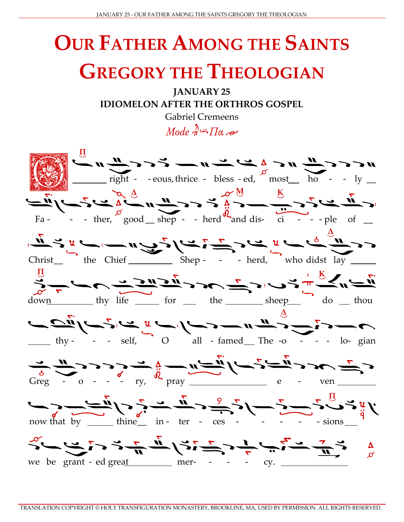## **OUR FATHER AMONG THE SAINTS GREGORY THE THEOLOGIAN**

**JANUARY 25 IDIOMELON AFTER THE ORTHROS GOSPEL** 

> **Gabriel Cremeens**  $Model \stackrel{\lambda}{\rightarrow} \prod_{\alpha} \rightarrow$

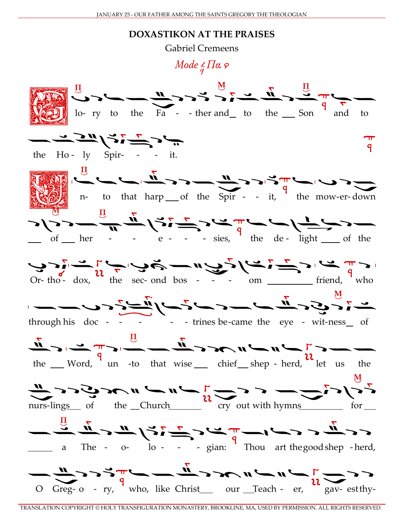## **DOXASTIKON AT THE PRAISES**

**Gabriel Cremeens** 

## Mode  $\frac{1}{a} \prod_{i} \alpha$   $\varphi$



TRANSLATION COPYRIGHT © HOLY TRANSFIGURATION MONASTERY, BROOKLINE, MA, USED BY PERMISSION. ALL RIGHTS RESERVED.